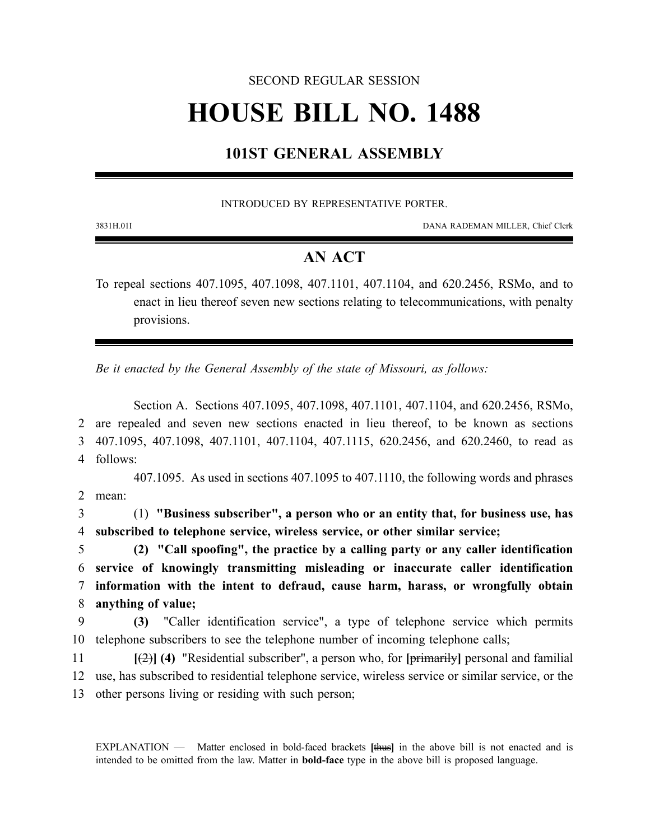#### SECOND REGULAR SESSION

# **HOUSE BILL NO. 1488**

# **101ST GENERAL ASSEMBLY**

INTRODUCED BY REPRESENTATIVE PORTER.

3831H.01I DANA RADEMAN MILLER, Chief Clerk

## **AN ACT**

To repeal sections 407.1095, 407.1098, 407.1101, 407.1104, and 620.2456, RSMo, and to enact in lieu thereof seven new sections relating to telecommunications, with penalty provisions.

*Be it enacted by the General Assembly of the state of Missouri, as follows:*

Section A. Sections 407.1095, 407.1098, 407.1101, 407.1104, and 620.2456, RSMo, are repealed and seven new sections enacted in lieu thereof, to be known as sections 407.1095, 407.1098, 407.1101, 407.1104, 407.1115, 620.2456, and 620.2460, to read as 4 follows: 407.1095. As used in sections 407.1095 to 407.1110, the following words and phrases 2 mean: (1) **"Business subscriber", a person who or an entity that, for business use, has subscribed to telephone service, wireless service, or other similar service; (2) "Call spoofing", the practice by a calling party or any caller identification service of knowingly transmitting misleading or inaccurate caller identification information with the intent to defraud, cause harm, harass, or wrongfully obtain anything of value; (3)** "Caller identification service", a type of telephone service which permits telephone subscribers to see the telephone number of incoming telephone calls;

11 **[**(2)**] (4)** "Residential subscriber", a person who, for **[**primarily**]** personal and familial 12 use, has subscribed to residential telephone service, wireless service or similar service, or the 13 other persons living or residing with such person;

EXPLANATION — Matter enclosed in bold-faced brackets **[**thus**]** in the above bill is not enacted and is intended to be omitted from the law. Matter in **bold-face** type in the above bill is proposed language.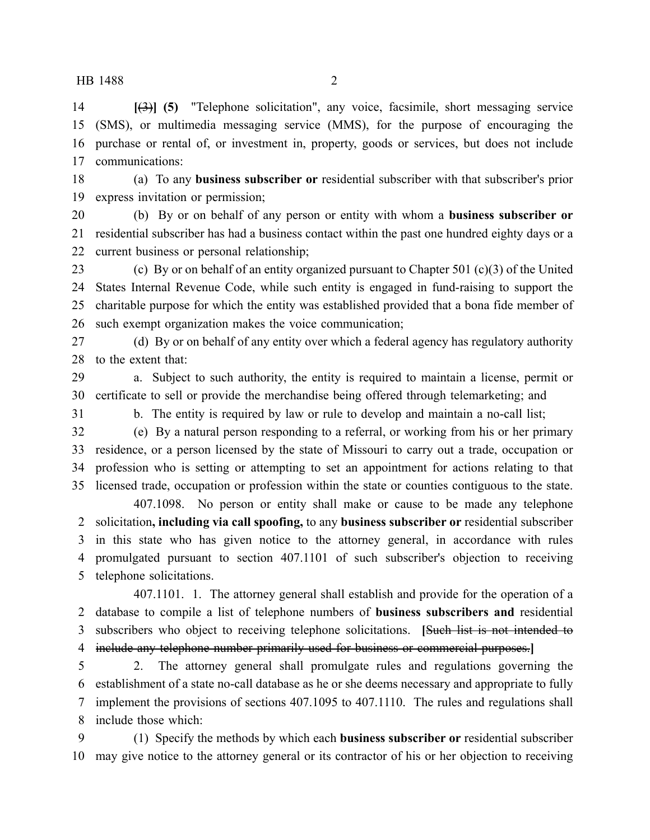**[**(3)**] (5)** "Telephone solicitation", any voice, facsimile, short messaging service (SMS), or multimedia messaging service (MMS), for the purpose of encouraging the purchase or rental of, or investment in, property, goods or services, but does not include communications:

 (a) To any **business subscriber or** residential subscriber with that subscriber's prior express invitation or permission;

 (b) By or on behalf of any person or entity with whom a **business subscriber or** residential subscriber has had a business contact within the past one hundred eighty days or a current business or personal relationship;

 (c) By or on behalf of an entity organized pursuant to Chapter 501 (c)(3) of the United States Internal Revenue Code, while such entity is engaged in fund-raising to support the charitable purpose for which the entity was established provided that a bona fide member of such exempt organization makes the voice communication;

 (d) By or on behalf of any entity over which a federal agency has regulatory authority to the extent that:

 a. Subject to such authority, the entity is required to maintain a license, permit or certificate to sell or provide the merchandise being offered through telemarketing; and

b. The entity is required by law or rule to develop and maintain a no-call list;

 (e) By a natural person responding to a referral, or working from his or her primary residence, or a person licensed by the state of Missouri to carry out a trade, occupation or profession who is setting or attempting to set an appointment for actions relating to that licensed trade, occupation or profession within the state or counties contiguous to the state.

407.1098. No person or entity shall make or cause to be made any telephone solicitation**, including via call spoofing,** to any **business subscriber or** residential subscriber in this state who has given notice to the attorney general, in accordance with rules promulgated pursuant to section 407.1101 of such subscriber's objection to receiving telephone solicitations.

407.1101. 1. The attorney general shall establish and provide for the operation of a database to compile a list of telephone numbers of **business subscribers and** residential subscribers who object to receiving telephone solicitations. **[**Such list is not intended to include any telephone number primarily used for business or commercial purposes.**]**

 2. The attorney general shall promulgate rules and regulations governing the establishment of a state no-call database as he or she deems necessary and appropriate to fully implement the provisions of sections 407.1095 to 407.1110. The rules and regulations shall include those which:

 (1) Specify the methods by which each **business subscriber or** residential subscriber may give notice to the attorney general or its contractor of his or her objection to receiving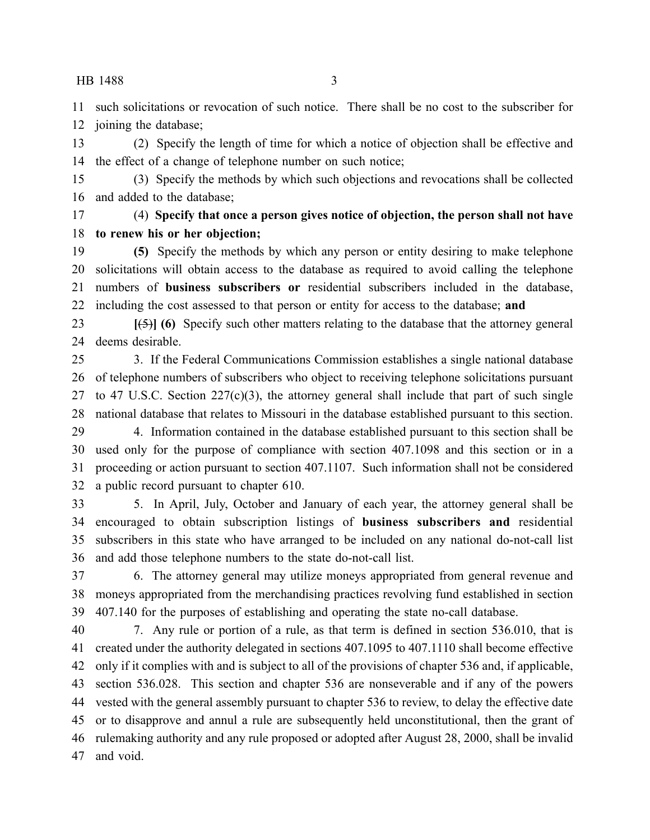such solicitations or revocation of such notice. There shall be no cost to the subscriber for joining the database;

 (2) Specify the length of time for which a notice of objection shall be effective and the effect of a change of telephone number on such notice;

 (3) Specify the methods by which such objections and revocations shall be collected and added to the database;

 (4) **Specify that once a person gives notice of objection, the person shall not have to renew his or her objection;**

 **(5)** Specify the methods by which any person or entity desiring to make telephone solicitations will obtain access to the database as required to avoid calling the telephone numbers of **business subscribers or** residential subscribers included in the database, including the cost assessed to that person or entity for access to the database; **and**

 **[**(5)**] (6)** Specify such other matters relating to the database that the attorney general deems desirable.

 3. If the Federal Communications Commission establishes a single national database of telephone numbers of subscribers who object to receiving telephone solicitations pursuant 27 to 47 U.S.C. Section  $227(c)(3)$ , the attorney general shall include that part of such single national database that relates to Missouri in the database established pursuant to this section.

 4. Information contained in the database established pursuant to this section shall be used only for the purpose of compliance with section 407.1098 and this section or in a proceeding or action pursuant to section 407.1107. Such information shall not be considered a public record pursuant to chapter 610.

 5. In April, July, October and January of each year, the attorney general shall be encouraged to obtain subscription listings of **business subscribers and** residential subscribers in this state who have arranged to be included on any national do-not-call list and add those telephone numbers to the state do-not-call list.

 6. The attorney general may utilize moneys appropriated from general revenue and moneys appropriated from the merchandising practices revolving fund established in section 407.140 for the purposes of establishing and operating the state no-call database.

 7. Any rule or portion of a rule, as that term is defined in section 536.010, that is created under the authority delegated in sections 407.1095 to 407.1110 shall become effective only if it complies with and is subject to all of the provisions of chapter 536 and, if applicable, section 536.028. This section and chapter 536 are nonseverable and if any of the powers vested with the general assembly pursuant to chapter 536 to review, to delay the effective date or to disapprove and annul a rule are subsequently held unconstitutional, then the grant of rulemaking authority and any rule proposed or adopted after August 28, 2000, shall be invalid and void.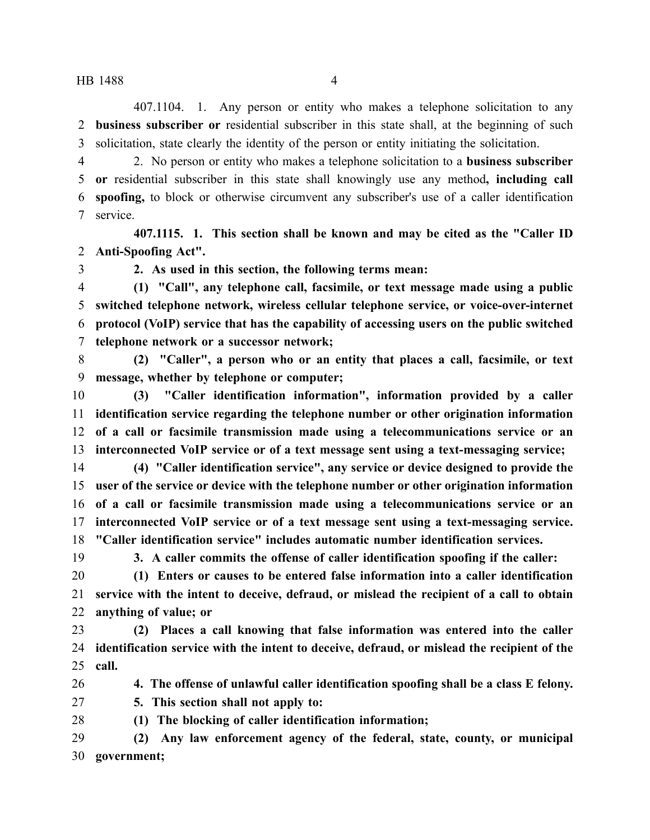407.1104. 1. Any person or entity who makes a telephone solicitation to any **business subscriber or** residential subscriber in this state shall, at the beginning of such solicitation, state clearly the identity of the person or entity initiating the solicitation.

 2. No person or entity who makes a telephone solicitation to a **business subscriber or** residential subscriber in this state shall knowingly use any method**, including call spoofing,** to block or otherwise circumvent any subscriber's use of a caller identification service.

**407.1115. 1. This section shall be known and may be cited as the "Caller ID Anti-Spoofing Act".**

**2. As used in this section, the following terms mean:**

 **(1) "Call", any telephone call, facsimile, or text message made using a public switched telephone network, wireless cellular telephone service, or voice-over-internet protocol (VoIP) service that has the capability of accessing users on the public switched telephone network or a successor network;**

 **(2) "Caller", a person who or an entity that places a call, facsimile, or text message, whether by telephone or computer;**

 **(3) "Caller identification information", information provided by a caller identification service regarding the telephone number or other origination information of a call or facsimile transmission made using a telecommunications service or an interconnected VoIP service or of a text message sent using a text-messaging service;**

 **(4) "Caller identification service", any service or device designed to provide the user of the service or device with the telephone number or other origination information of a call or facsimile transmission made using a telecommunications service or an interconnected VoIP service or of a text message sent using a text-messaging service. "Caller identification service" includes automatic number identification services.**

**3. A caller commits the offense of caller identification spoofing if the caller:**

 **(1) Enters or causes to be entered false information into a caller identification service with the intent to deceive, defraud, or mislead the recipient of a call to obtain anything of value; or**

 **(2) Places a call knowing that false information was entered into the caller identification service with the intent to deceive, defraud, or mislead the recipient of the call.**

**4. The offense of unlawful caller identification spoofing shall be a class E felony.**

**5. This section shall not apply to:**

**(1) The blocking of caller identification information;**

 **(2) Any law enforcement agency of the federal, state, county, or municipal government;**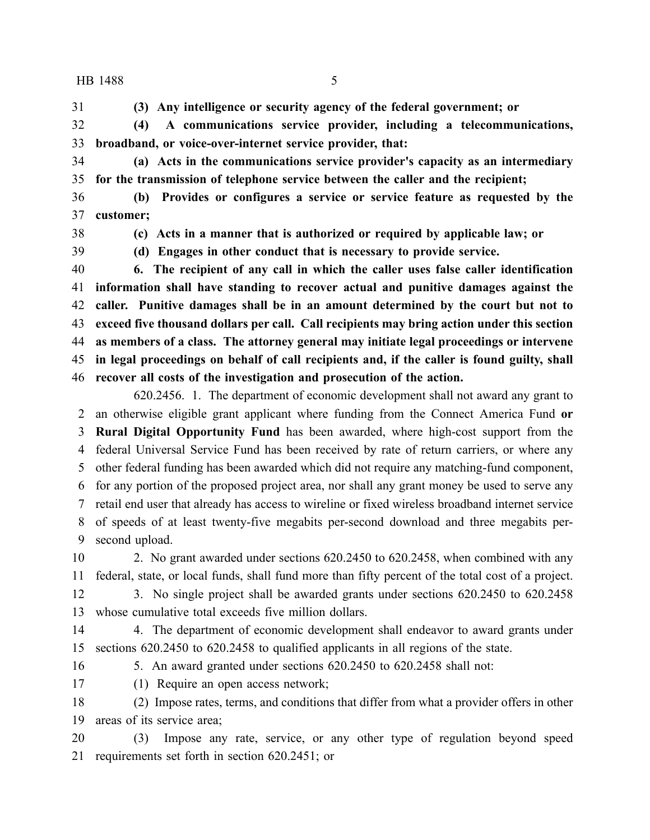**(3) Any intelligence or security agency of the federal government; or**

 **(4) A communications service provider, including a telecommunications, broadband, or voice-over-internet service provider, that:**

 **(a) Acts in the communications service provider's capacity as an intermediary for the transmission of telephone service between the caller and the recipient;**

 **(b) Provides or configures a service or service feature as requested by the customer;**

**(c) Acts in a manner that is authorized or required by applicable law; or**

**(d) Engages in other conduct that is necessary to provide service.**

 **6. The recipient of any call in which the caller uses false caller identification information shall have standing to recover actual and punitive damages against the caller. Punitive damages shall be in an amount determined by the court but not to exceed five thousand dollars per call. Call recipients may bring action under this section as members of a class. The attorney general may initiate legal proceedings or intervene in legal proceedings on behalf of call recipients and, if the caller is found guilty, shall recover all costs of the investigation and prosecution of the action.**

620.2456. 1. The department of economic development shall not award any grant to an otherwise eligible grant applicant where funding from the Connect America Fund **or Rural Digital Opportunity Fund** has been awarded, where high-cost support from the federal Universal Service Fund has been received by rate of return carriers, or where any other federal funding has been awarded which did not require any matching-fund component, for any portion of the proposed project area, nor shall any grant money be used to serve any retail end user that already has access to wireline or fixed wireless broadband internet service of speeds of at least twenty-five megabits per-second download and three megabits per-second upload.

 2. No grant awarded under sections 620.2450 to 620.2458, when combined with any federal, state, or local funds, shall fund more than fifty percent of the total cost of a project.

 3. No single project shall be awarded grants under sections 620.2450 to 620.2458 whose cumulative total exceeds five million dollars.

 4. The department of economic development shall endeavor to award grants under sections 620.2450 to 620.2458 to qualified applicants in all regions of the state.

5. An award granted under sections 620.2450 to 620.2458 shall not:

(1) Require an open access network;

 (2) Impose rates, terms, and conditions that differ from what a provider offers in other areas of its service area;

 (3) Impose any rate, service, or any other type of regulation beyond speed requirements set forth in section 620.2451; or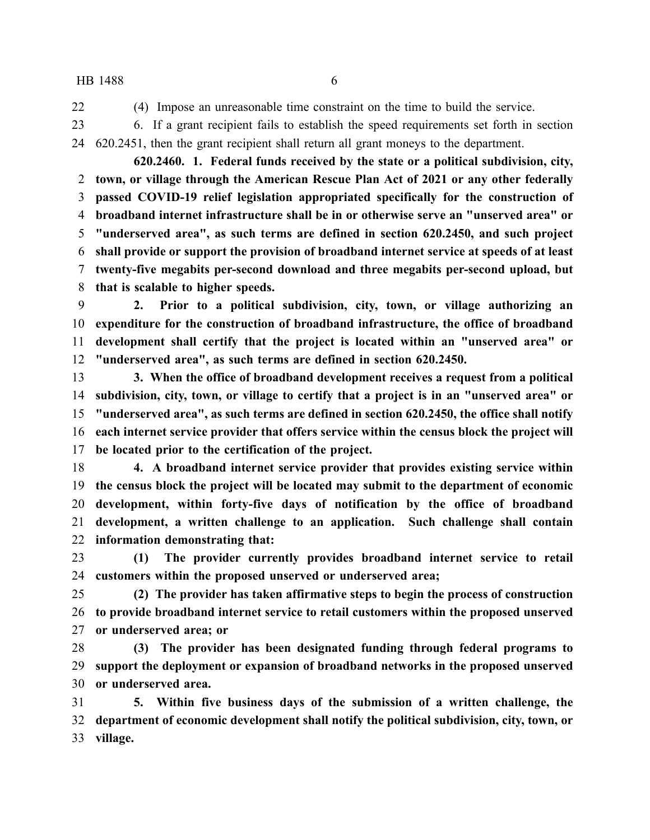(4) Impose an unreasonable time constraint on the time to build the service.

 6. If a grant recipient fails to establish the speed requirements set forth in section 620.2451, then the grant recipient shall return all grant moneys to the department.

**620.2460. 1. Federal funds received by the state or a political subdivision, city, town, or village through the American Rescue Plan Act of 2021 or any other federally passed COVID-19 relief legislation appropriated specifically for the construction of broadband internet infrastructure shall be in or otherwise serve an "unserved area" or "underserved area", as such terms are defined in section 620.2450, and such project shall provide or support the provision of broadband internet service at speeds of at least twenty-five megabits per-second download and three megabits per-second upload, but that is scalable to higher speeds.**

 **2. Prior to a political subdivision, city, town, or village authorizing an expenditure for the construction of broadband infrastructure, the office of broadband development shall certify that the project is located within an "unserved area" or "underserved area", as such terms are defined in section 620.2450.**

 **3. When the office of broadband development receives a request from a political subdivision, city, town, or village to certify that a project is in an "unserved area" or "underserved area", as such terms are defined in section 620.2450, the office shall notify each internet service provider that offers service within the census block the project will be located prior to the certification of the project.**

 **4. A broadband internet service provider that provides existing service within the census block the project will be located may submit to the department of economic development, within forty-five days of notification by the office of broadband development, a written challenge to an application. Such challenge shall contain information demonstrating that:**

 **(1) The provider currently provides broadband internet service to retail customers within the proposed unserved or underserved area;**

 **(2) The provider has taken affirmative steps to begin the process of construction to provide broadband internet service to retail customers within the proposed unserved or underserved area; or**

 **(3) The provider has been designated funding through federal programs to support the deployment or expansion of broadband networks in the proposed unserved or underserved area.**

 **5. Within five business days of the submission of a written challenge, the department of economic development shall notify the political subdivision, city, town, or village.**